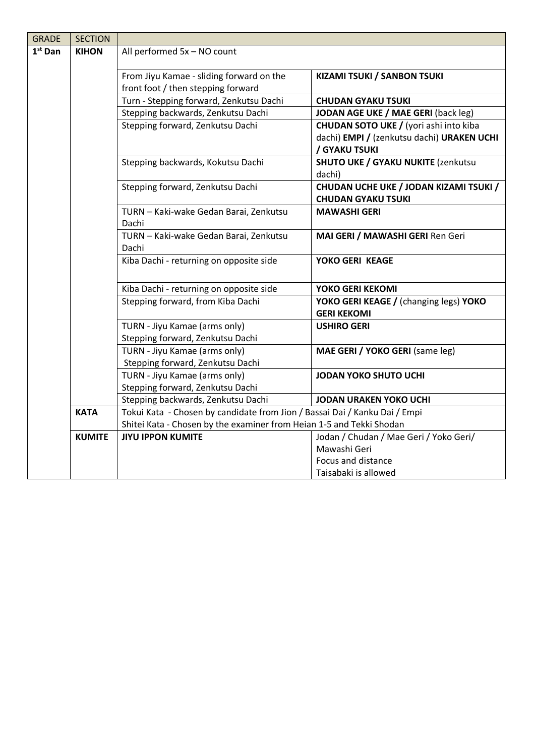| <b>GRADE</b> | <b>SECTION</b> |                                                                            |                                                |
|--------------|----------------|----------------------------------------------------------------------------|------------------------------------------------|
| $1st$ Dan    | <b>KIHON</b>   | All performed 5x - NO count                                                |                                                |
|              |                |                                                                            |                                                |
|              |                | From Jiyu Kamae - sliding forward on the                                   | <b>KIZAMI TSUKI / SANBON TSUKI</b>             |
|              |                | front foot / then stepping forward                                         |                                                |
|              |                | Turn - Stepping forward, Zenkutsu Dachi                                    | <b>CHUDAN GYAKU TSUKI</b>                      |
|              |                | Stepping backwards, Zenkutsu Dachi                                         | JODAN AGE UKE / MAE GERI (back leg)            |
|              |                | Stepping forward, Zenkutsu Dachi                                           | <b>CHUDAN SOTO UKE / (yori ashi into kiba)</b> |
|              |                |                                                                            | dachi) EMPI / (zenkutsu dachi) URAKEN UCHI     |
|              |                |                                                                            | / GYAKU TSUKI                                  |
|              |                | Stepping backwards, Kokutsu Dachi                                          | <b>SHUTO UKE / GYAKU NUKITE (zenkutsu)</b>     |
|              |                |                                                                            | dachi)                                         |
|              |                | Stepping forward, Zenkutsu Dachi                                           | CHUDAN UCHE UKE / JODAN KIZAMI TSUKI /         |
|              |                |                                                                            | <b>CHUDAN GYAKU TSUKI</b>                      |
|              |                | TURN - Kaki-wake Gedan Barai, Zenkutsu                                     | <b>MAWASHI GERI</b>                            |
|              |                | Dachi                                                                      |                                                |
|              |                | TURN - Kaki-wake Gedan Barai, Zenkutsu                                     | MAI GERI / MAWASHI GERI Ren Geri               |
|              |                | Dachi                                                                      |                                                |
|              |                | Kiba Dachi - returning on opposite side                                    | YOKO GERI KEAGE                                |
|              |                |                                                                            |                                                |
|              |                | Kiba Dachi - returning on opposite side                                    | YOKO GERI KEKOMI                               |
|              |                | Stepping forward, from Kiba Dachi                                          | YOKO GERI KEAGE / (changing legs) YOKO         |
|              |                |                                                                            | <b>GERI KEKOMI</b>                             |
|              |                | TURN - Jiyu Kamae (arms only)                                              | <b>USHIRO GERI</b>                             |
|              |                | Stepping forward, Zenkutsu Dachi                                           |                                                |
|              |                | TURN - Jiyu Kamae (arms only)                                              | MAE GERI / YOKO GERI (same leg)                |
|              |                | Stepping forward, Zenkutsu Dachi                                           |                                                |
|              |                | TURN - Jiyu Kamae (arms only)                                              | <b>JODAN YOKO SHUTO UCHI</b>                   |
|              |                | Stepping forward, Zenkutsu Dachi                                           |                                                |
|              |                | Stepping backwards, Zenkutsu Dachi                                         | <b>JODAN URAKEN YOKO UCHI</b>                  |
|              | <b>KATA</b>    | Tokui Kata - Chosen by candidate from Jion / Bassai Dai / Kanku Dai / Empi |                                                |
|              |                | Shitei Kata - Chosen by the examiner from Heian 1-5 and Tekki Shodan       |                                                |
|              | <b>KUMITE</b>  | <b>JIYU IPPON KUMITE</b>                                                   | Jodan / Chudan / Mae Geri / Yoko Geri/         |
|              |                |                                                                            | Mawashi Geri                                   |
|              |                |                                                                            | Focus and distance                             |
|              |                |                                                                            | Taisabaki is allowed                           |